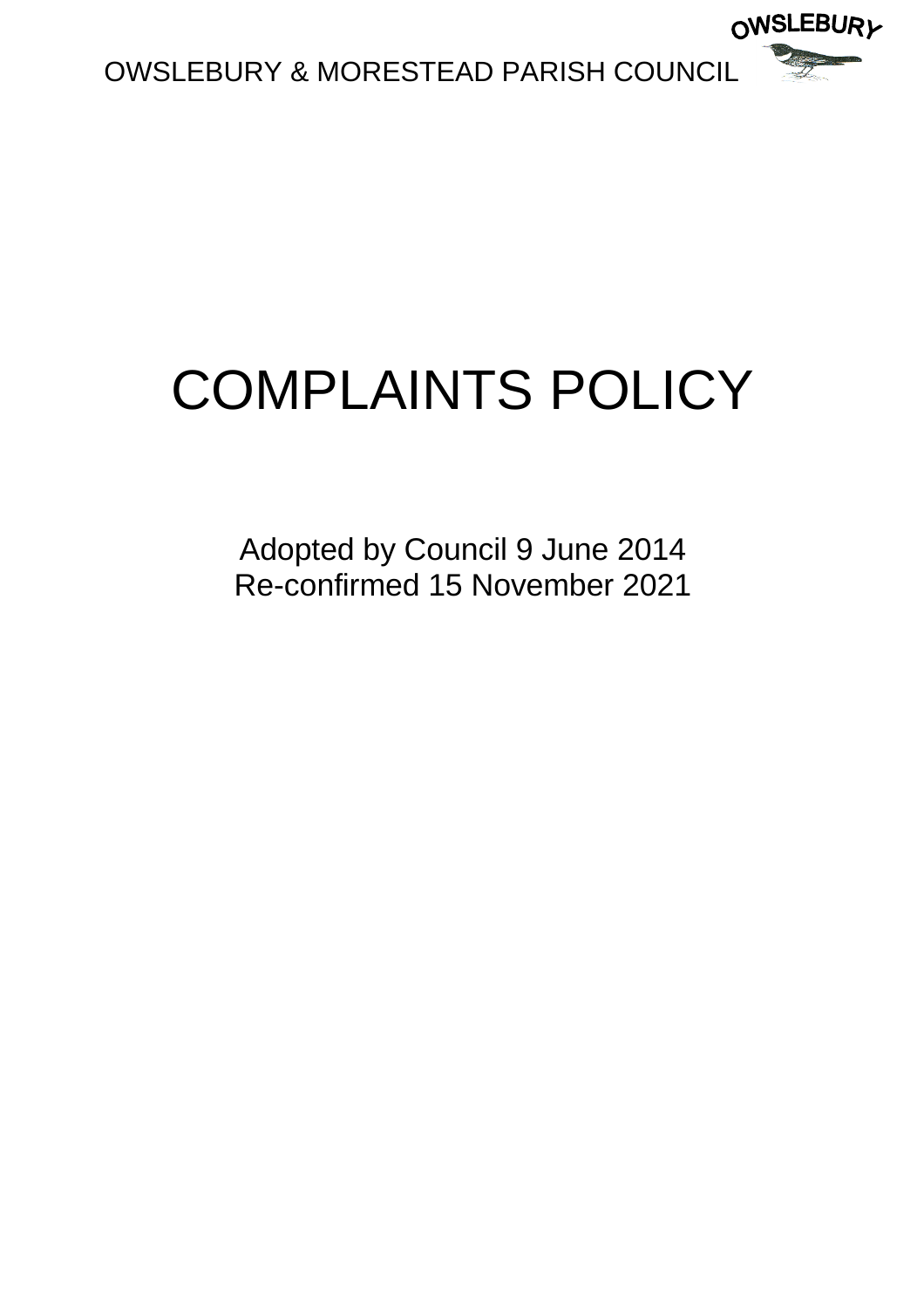

# COMPLAINTS POLICY

Adopted by Council 9 June 2014 Re-confirmed 15 November 2021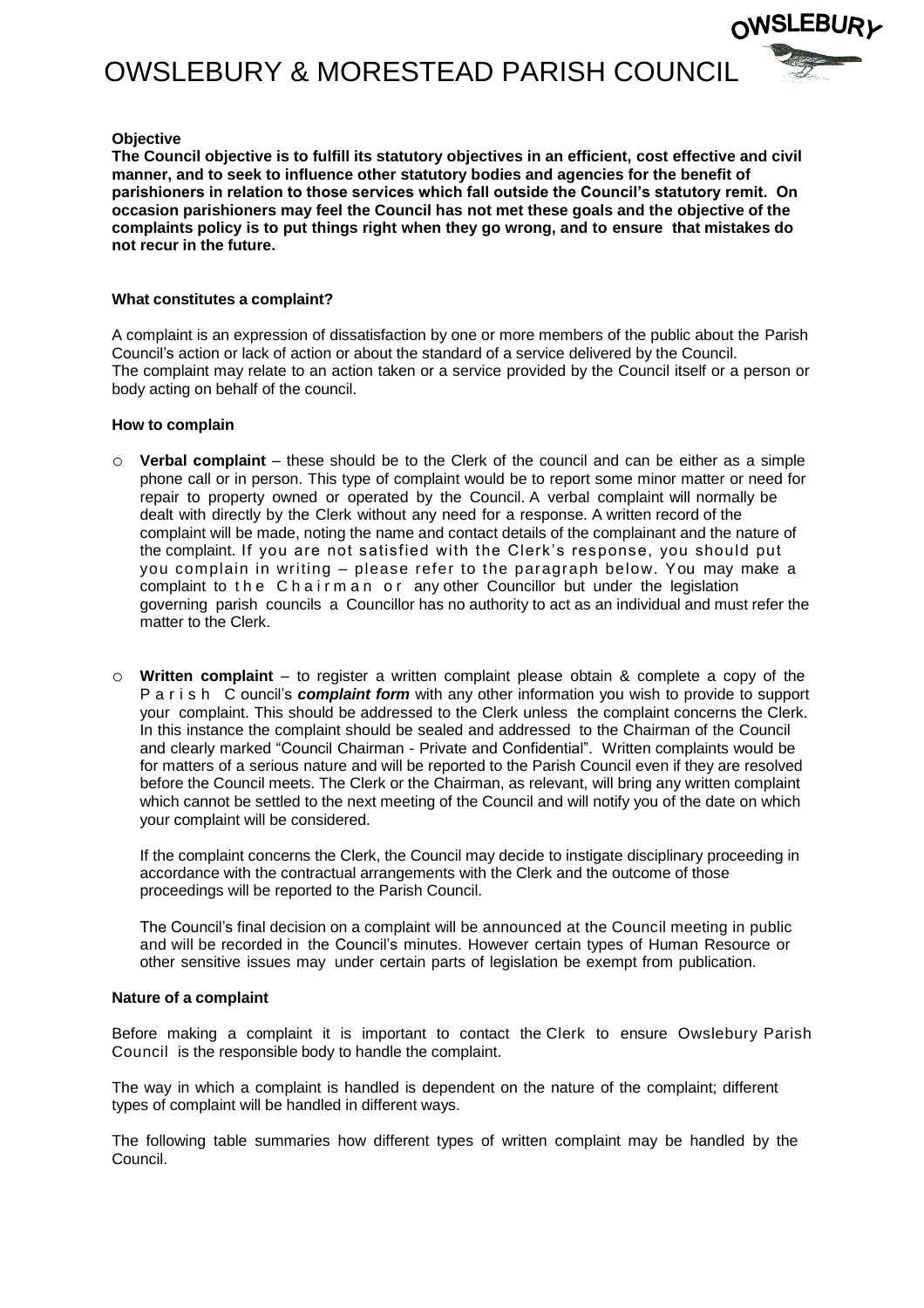OWSLEBURY & MORESTEAD PARISH COUNCIL



### **Objective**

**The Council objective is to fulfill its statutory objectives in an efficient, cost effective and civil manner, and to seek to influence other statutory bodies and agencies for the benefit of parishioners in relation to those services which fall outside the Council's statutory remit. On occasion parishioners may feel the Council has not met these goals and the objective of the complaints policy is to put things right when they go wrong, and to ensure that mistakes do not recur in the future.**

#### **What constitutes a complaint?**

A complaint is an expression of dissatisfaction by one or more members of the public about the Parish Council's action or lack of action or about the standard of a service delivered by the Council. The complaint may relate to an action taken or a service provided by the Council itself or a person or body acting on behalf of the council.

#### **How to complain**

- o **Verbal complaint** these should be to the Clerk of the council and can be either as a simple phone call or in person. This type of complaint would be to report some minor matter or need for repair to property owned or operated by the Council. A verbal complaint will normally be dealt with directly by the Clerk without any need for a response. A written record of the complaint will be made, noting the name and contact details of the complainant and the nature of the complaint. If you are not satisfied with the Clerk's response, you should put you complain in writing – please refer to the paragraph below. You may make a complaint to the Chairman or any other Councillor but under the legislation governing parish councils a Councillor has no authority to act as an individual and must refer the matter to the Clerk.
- o **Written complaint** to register a written complaint please obtain & complete a copy of the P a r i s h C ouncil's *complaint form* with any other information you wish to provide to support your complaint. This should be addressed to the Clerk unless the complaint concerns the Clerk. In this instance the complaint should be sealed and addressed to the Chairman of the Council and clearly marked "Council Chairman - Private and Confidential". Written complaints would be for matters of a serious nature and will be reported to the Parish Council even if they are resolved before the Council meets. The Clerk or the Chairman, as relevant, will bring any written complaint which cannot be settled to the next meeting of the Council and will notify you of the date on which your complaint will be considered.

If the complaint concerns the Clerk, the Council may decide to instigate disciplinary proceeding in accordance with the contractual arrangements with the Clerk and the outcome of those proceedings will be reported to the Parish Council.

The Council's final decision on a complaint will be announced at the Council meeting in public and will be recorded in the Council's minutes. However certain types of Human Resource or other sensitive issues may under certain parts of legislation be exempt from publication.

#### **Nature of a complaint**

Before making a complaint it is important to contact the Clerk to ensure Owslebury Parish Council is the responsible body to handle the complaint.

The way in which a complaint is handled is dependent on the nature of the complaint; different types of complaint will be handled in different ways.

The following table summaries how different types of written complaint may be handled by the Council.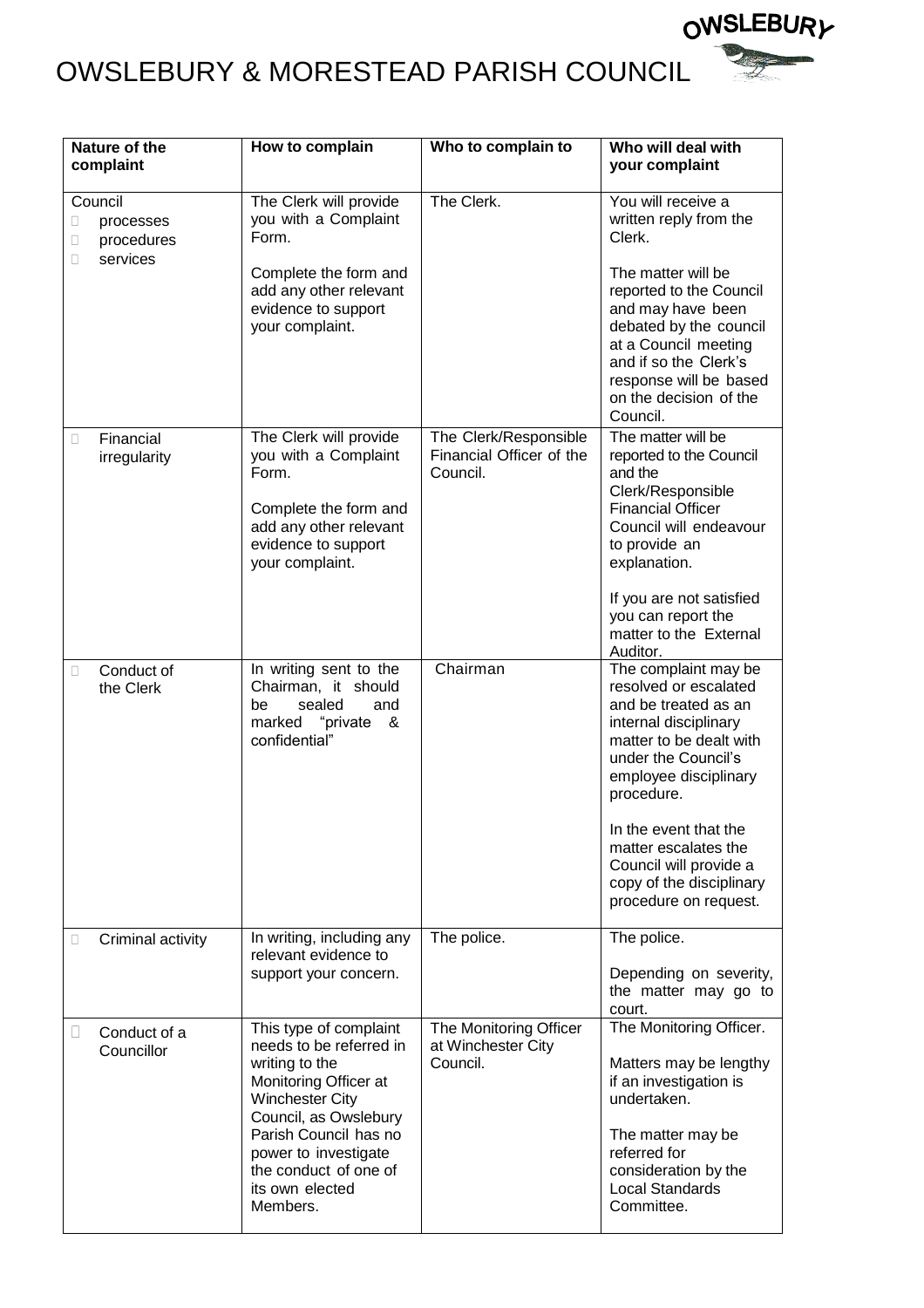

# OWSLEBURY & MORESTEAD PARISH COUNCIL

| Nature of the<br>complaint                                    | How to complain                                                                                                                                                                                                                                          | Who to complain to                                            | Who will deal with<br>your complaint                                                                                                                                                            |
|---------------------------------------------------------------|----------------------------------------------------------------------------------------------------------------------------------------------------------------------------------------------------------------------------------------------------------|---------------------------------------------------------------|-------------------------------------------------------------------------------------------------------------------------------------------------------------------------------------------------|
| Council<br>processes<br>O<br>procedures<br>O<br>services<br>П | The Clerk will provide<br>you with a Complaint<br>Form.<br>Complete the form and                                                                                                                                                                         | The Clerk.                                                    | You will receive a<br>written reply from the<br>Clerk.<br>The matter will be                                                                                                                    |
|                                                               | add any other relevant<br>evidence to support<br>your complaint.                                                                                                                                                                                         |                                                               | reported to the Council<br>and may have been<br>debated by the council<br>at a Council meeting<br>and if so the Clerk's<br>response will be based<br>on the decision of the<br>Council.         |
| Financial<br>$\Box$<br>irregularity                           | The Clerk will provide<br>you with a Complaint<br>Form.<br>Complete the form and<br>add any other relevant<br>evidence to support<br>your complaint.                                                                                                     | The Clerk/Responsible<br>Financial Officer of the<br>Council. | The matter will be<br>reported to the Council<br>and the<br>Clerk/Responsible<br><b>Financial Officer</b><br>Council will endeavour<br>to provide an<br>explanation.                            |
|                                                               |                                                                                                                                                                                                                                                          |                                                               | If you are not satisfied<br>you can report the<br>matter to the External<br>Auditor.                                                                                                            |
| Conduct of<br>Ω<br>the Clerk                                  | In writing sent to the<br>Chairman, it should<br>sealed<br>be<br>and<br>marked "private<br>&<br>confidential"                                                                                                                                            | Chairman                                                      | The complaint may be<br>resolved or escalated<br>and be treated as an<br>internal disciplinary<br>matter to be dealt with<br>under the Council's<br>employee disciplinary<br>procedure.         |
|                                                               |                                                                                                                                                                                                                                                          |                                                               | In the event that the<br>matter escalates the<br>Council will provide a<br>copy of the disciplinary<br>procedure on request.                                                                    |
| Criminal activity<br>O                                        | In writing, including any<br>relevant evidence to<br>support your concern.                                                                                                                                                                               | The police.                                                   | The police.<br>Depending on severity,<br>the matter may go to<br>court.                                                                                                                         |
| Conduct of a<br>$\Box$<br>Councillor                          | This type of complaint<br>needs to be referred in<br>writing to the<br>Monitoring Officer at<br><b>Winchester City</b><br>Council, as Owslebury<br>Parish Council has no<br>power to investigate<br>the conduct of one of<br>its own elected<br>Members. | The Monitoring Officer<br>at Winchester City<br>Council.      | The Monitoring Officer.<br>Matters may be lengthy<br>if an investigation is<br>undertaken.<br>The matter may be<br>referred for<br>consideration by the<br><b>Local Standards</b><br>Committee. |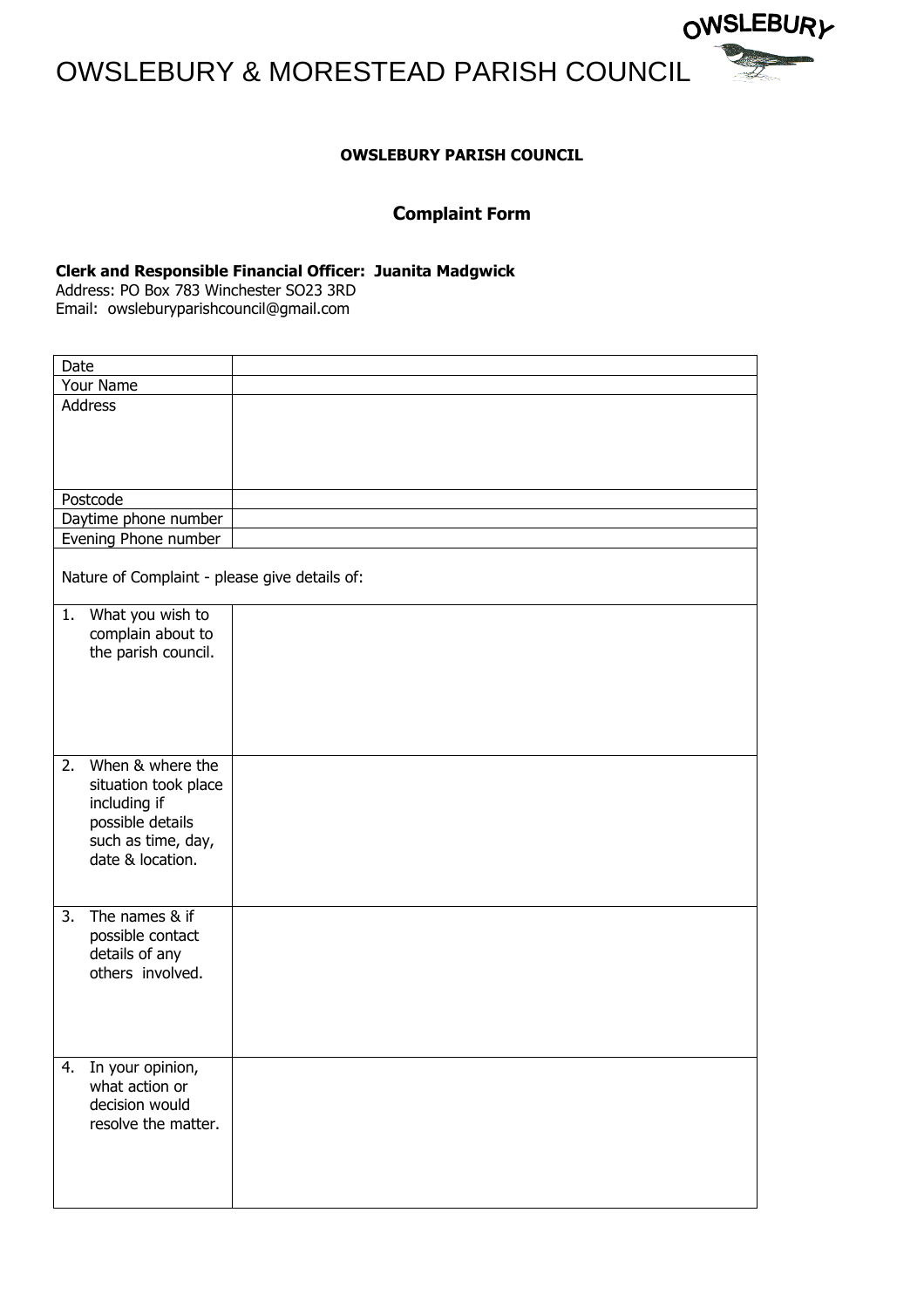OWSLEBURY & MORESTEAD PARISH COUNCIL



# **OWSLEBURY PARISH COUNCIL**

# **Complaint Form**

## **Clerk and Responsible Financial Officer: Juanita Madgwick**

Address: PO Box 783 Winchester SO23 3RD Email: owsleburyparishcouncil@gmail.com

|           | Date                                          |  |
|-----------|-----------------------------------------------|--|
| Your Name |                                               |  |
|           | Address                                       |  |
|           |                                               |  |
|           |                                               |  |
|           |                                               |  |
|           |                                               |  |
|           | Postcode                                      |  |
|           | Daytime phone number                          |  |
|           | Evening Phone number                          |  |
|           |                                               |  |
|           | Nature of Complaint - please give details of: |  |
|           | 1.<br>What you wish to                        |  |
|           | complain about to                             |  |
|           | the parish council.                           |  |
|           |                                               |  |
|           |                                               |  |
|           |                                               |  |
|           |                                               |  |
|           |                                               |  |
|           | 2.<br>When & where the                        |  |
|           | situation took place                          |  |
|           | including if                                  |  |
|           | possible details                              |  |
|           | such as time, day,                            |  |
|           | date & location.                              |  |
|           |                                               |  |
|           |                                               |  |
|           | The names & if<br>3.                          |  |
|           | possible contact                              |  |
|           | details of any                                |  |
|           | others involved.                              |  |
|           |                                               |  |
|           |                                               |  |
|           |                                               |  |
|           |                                               |  |
|           | In your opinion,<br>4.                        |  |
|           | what action or                                |  |
|           | decision would                                |  |
|           | resolve the matter.                           |  |
|           |                                               |  |
|           |                                               |  |
|           |                                               |  |
|           |                                               |  |
|           |                                               |  |